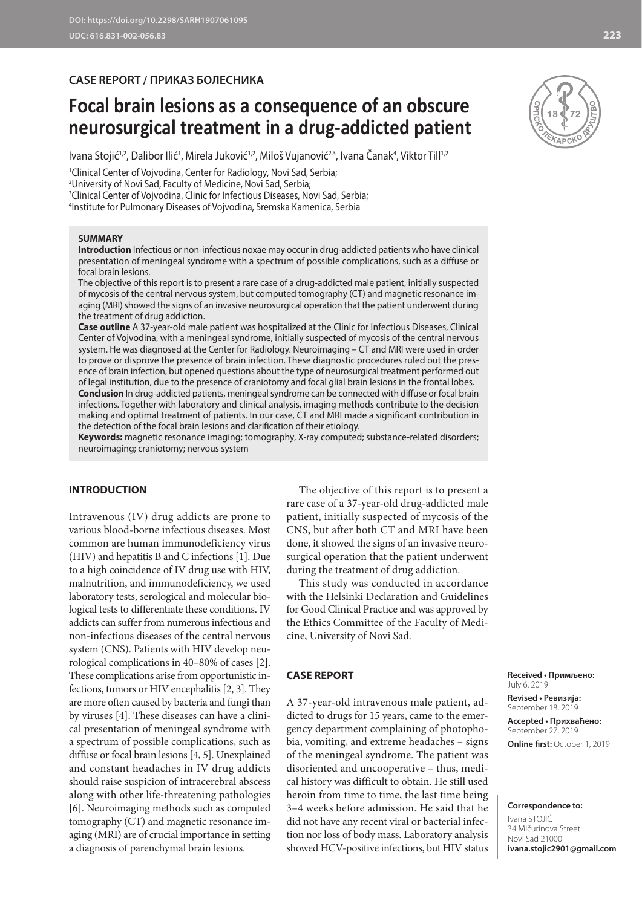## **CASE REPORT / ПРИКАЗ БОЛЕСНИКА**

# **Focal brain lesions as a consequence of an obscure neurosurgical treatment in a drug-addicted patient**

lvana Stojić<sup>1,2</sup>, Dalibor Ilić<sup>1</sup>, Mirela Juković<sup>1,2</sup>, Miloš Vujanović<sup>2,3</sup>, Ivana Canak<sup>4</sup>, Viktor Till<sup>1,2</sup>

 Clinical Center of Vojvodina, Center for Radiology, Novi Sad, Serbia; University of Novi Sad, Faculty of Medicine, Novi Sad, Serbia; Clinical Center of Vojvodina, Clinic for Infectious Diseases, Novi Sad, Serbia; Institute for Pulmonary Diseases of Vojvodina, Sremska Kamenica, Serbia

#### **SUMMARY**

**Introduction** Infectious or non-infectious noxae may occur in drug-addicted patients who have clinical presentation of meningeal syndrome with a spectrum of possible complications, such as a diffuse or focal brain lesions.

The objective of this report is to present a rare case of a drug-addicted male patient, initially suspected of mycosis of the central nervous system, but computed tomography (CT) and magnetic resonance imaging (MRI) showed the signs of an invasive neurosurgical operation that the patient underwent during the treatment of drug addiction.

**Case outline** A 37-year-old male patient was hospitalized at the Clinic for Infectious Diseases, Clinical Center of Vojvodina, with a meningeal syndrome, initially suspected of mycosis of the central nervous system. He was diagnosed at the Center for Radiology. Neuroimaging – CT and MRI were used in order to prove or disprove the presence of brain infection. These diagnostic procedures ruled out the presence of brain infection, but opened questions about the type of neurosurgical treatment performed out of legal institution, due to the presence of craniotomy and focal glial brain lesions in the frontal lobes. **Conclusion** In drug-addicted patients, meningeal syndrome can be connected with diffuse or focal brain

infections. Together with laboratory and clinical analysis, imaging methods contribute to the decision making and optimal treatment of patients. In our case, CT and MRI made a significant contribution in the detection of the focal brain lesions and clarification of their etiology.

**Keywords:** magnetic resonance imaging; tomography, X-ray computed; substance-related disorders; neuroimaging; craniotomy; nervous system

#### **INTRODUCTION**

Intravenous (IV) drug addicts are prone to various blood-borne infectious diseases. Most common are human immunodeficiency virus (HIV) and hepatitis B and C infections [1]. Due to a high coincidence of IV drug use with HIV, malnutrition, and immunodeficiency, we used laboratory tests, serological and molecular biological tests to differentiate these conditions. IV addicts can suffer from numerous infectious and non-infectious diseases of the central nervous system (CNS). Patients with HIV develop neurological complications in 40–80% of cases [2]. These complications arise from opportunistic infections, tumors or HIV encephalitis [2, 3]. They are more often caused by bacteria and fungi than by viruses [4]. These diseases can have a clinical presentation of meningeal syndrome with a spectrum of possible complications, such as diffuse or focal brain lesions [4, 5]. Unexplained and constant headaches in IV drug addicts should raise suspicion of intracerebral abscess along with other life-threatening pathologies [6]. Neuroimaging methods such as computed tomography (CT) and magnetic resonance imaging (MRI) are of crucial importance in setting a diagnosis of parenchymal brain lesions.

The objective of this report is to present a rare case of a 37-year-old drug-addicted male patient, initially suspected of mycosis of the CNS, but after both CT and MRI have been done, it showed the signs of an invasive neurosurgical operation that the patient underwent during the treatment of drug addiction.

This study was conducted in accordance with the Helsinki Declaration and Guidelines for Good Clinical Practice and was approved by the Ethics Committee of the Faculty of Medicine, University of Novi Sad.

#### **CASE REPORT**

A 37-year-old intravenous male patient, addicted to drugs for 15 years, came to the emergency department complaining of photophobia, vomiting, and extreme headaches – signs of the meningeal syndrome. The patient was disoriented and uncooperative – thus, medical history was difficult to obtain. He still used heroin from time to time, the last time being 3–4 weeks before admission. He said that he did not have any recent viral or bacterial infection nor loss of body mass. Laboratory analysis showed HCV-positive infections, but HIV status



**Received • Примљено:** 

September 18, 2019 **Accepted • Прихваћено:** September 27, 2019 **Online first:** October 1, 2019

**Correspondence to:** Ivana STOJIĆ 34 Mičurinova Street Novi Sad 21000

**ivana.stojic2901@gmail.com**

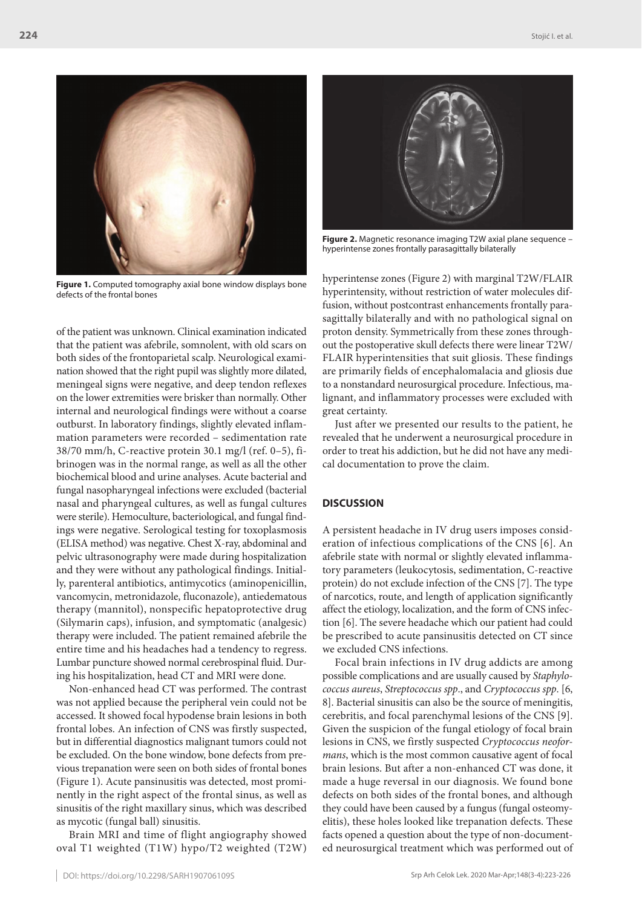

Figure 1. Computed tomography axial bone window displays bone defects of the frontal bones

of the patient was unknown. Clinical examination indicated that the patient was afebrile, somnolent, with old scars on both sides of the frontoparietal scalp. Neurological examination showed that the right pupil was slightly more dilated, meningeal signs were negative, and deep tendon reflexes on the lower extremities were brisker than normally. Other internal and neurological findings were without a coarse outburst. In laboratory findings, slightly elevated inflammation parameters were recorded – sedimentation rate 38/70 mm/h, C-reactive protein 30.1 mg/l (ref. 0–5), fibrinogen was in the normal range, as well as all the other biochemical blood and urine analyses. Acute bacterial and fungal nasopharyngeal infections were excluded (bacterial nasal and pharyngeal cultures, as well as fungal cultures were sterile). Hemoculture, bacteriological, and fungal findings were negative. Serological testing for toxoplasmosis (ELISA method) was negative. Chest X-ray, abdominal and pelvic ultrasonography were made during hospitalization and they were without any pathological findings. Initially, parenteral antibiotics, antimycotics (aminopenicillin, vancomycin, metronidazole, fluconazole), antiedematous therapy (mannitol), nonspecific hepatoprotective drug (Silymarin caps), infusion, and symptomatic (analgesic) therapy were included. The patient remained afebrile the entire time and his headaches had a tendency to regress. Lumbar puncture showed normal cerebrospinal fluid. During his hospitalization, head CT and MRI were done.

Non-enhanced head CT was performed. The contrast was not applied because the peripheral vein could not be accessed. It showed focal hypodense brain lesions in both frontal lobes. An infection of CNS was firstly suspected, but in differential diagnostics malignant tumors could not be excluded. On the bone window, bone defects from previous trepanation were seen on both sides of frontal bones (Figure 1). Acute pansinusitis was detected, most prominently in the right aspect of the frontal sinus, as well as sinusitis of the right maxillary sinus, which was described as mycotic (fungal ball) sinusitis.

Brain MRI and time of flight angiography showed oval T1 weighted (T1W) hypo/T2 weighted (T2W)



**Figure 2.** Magnetic resonance imaging T2W axial plane sequence – hyperintense zones frontally parasagittally bilaterally

hyperintense zones (Figure 2) with marginal T2W/FLAIR hyperintensity, without restriction of water molecules diffusion, without postcontrast enhancements frontally parasagittally bilaterally and with no pathological signal on proton density. Symmetrically from these zones throughout the postoperative skull defects there were linear T2W/ FLAIR hyperintensities that suit gliosis. These findings are primarily fields of encephalomalacia and gliosis due to a nonstandard neurosurgical procedure. Infectious, malignant, and inflammatory processes were excluded with great certainty.

Just after we presented our results to the patient, he revealed that he underwent a neurosurgical procedure in order to treat his addiction, but he did not have any medical documentation to prove the claim.

### **DISCUSSION**

A persistent headache in IV drug users imposes consideration of infectious complications of the CNS [6]. An afebrile state with normal or slightly elevated inflammatory parameters (leukocytosis, sedimentation, C-reactive protein) do not exclude infection of the CNS [7]. The type of narcotics, route, and length of application significantly affect the etiology, localization, and the form of CNS infection [6]. The severe headache which our patient had could be prescribed to acute pansinusitis detected on CT since we excluded CNS infections.

Focal brain infections in IV drug addicts are among possible complications and are usually caused by *Staphylococcus aureus*, *Streptococcus spp*., and *Cryptococcus spp*. [6, 8]. Bacterial sinusitis can also be the source of meningitis, cerebritis, and focal parenchymal lesions of the CNS [9]. Given the suspicion of the fungal etiology of focal brain lesions in CNS, we firstly suspected *Cryptococcus neoformans*, which is the most common causative agent of focal brain lesions. But after a non-enhanced CT was done, it made a huge reversal in our diagnosis. We found bone defects on both sides of the frontal bones, and although they could have been caused by a fungus (fungal osteomyelitis), these holes looked like trepanation defects. These facts opened a question about the type of non-documented neurosurgical treatment which was performed out of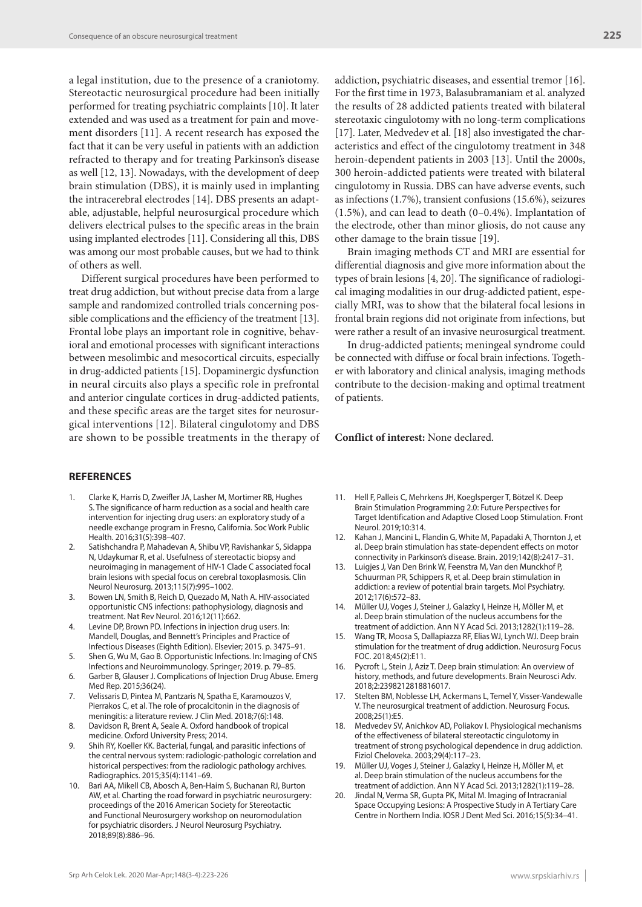a legal institution, due to the presence of a craniotomy. Stereotactic neurosurgical procedure had been initially performed for treating psychiatric complaints [10]. It later extended and was used as a treatment for pain and movement disorders [11]. A recent research has exposed the fact that it can be very useful in patients with an addiction refracted to therapy and for treating Parkinson's disease as well [12, 13]. Nowadays, with the development of deep brain stimulation (DBS), it is mainly used in implanting the intracerebral electrodes [14]. DBS presents an adaptable, adjustable, helpful neurosurgical procedure which delivers electrical pulses to the specific areas in the brain using implanted electrodes [11]. Considering all this, DBS was among our most probable causes, but we had to think of others as well.

Different surgical procedures have been performed to treat drug addiction, but without precise data from a large sample and randomized controlled trials concerning possible complications and the efficiency of the treatment [13]. Frontal lobe plays an important role in cognitive, behavioral and emotional processes with significant interactions between mesolimbic and mesocortical circuits, especially in drug-addicted patients [15]. Dopaminergic dysfunction in neural circuits also plays a specific role in prefrontal and anterior cingulate cortices in drug-addicted patients, and these specific areas are the target sites for neurosurgical interventions [12]. Bilateral cingulotomy and DBS are shown to be possible treatments in the therapy of

#### **REFERENCES**

- 1. Clarke K, Harris D, Zweifler JA, Lasher M, Mortimer RB, Hughes S. The significance of harm reduction as a social and health care intervention for injecting drug users: an exploratory study of a needle exchange program in Fresno, California. Soc Work Public Health. 2016;31(5):398–407.
- 2. Satishchandra P, Mahadevan A, Shibu VP, Ravishankar S, Sidappa N, Udaykumar R, et al. Usefulness of stereotactic biopsy and neuroimaging in management of HIV-1 Clade C associated focal brain lesions with special focus on cerebral toxoplasmosis. Clin Neurol Neurosurg. 2013;115(7):995–1002.
- 3. Bowen LN, Smith B, Reich D, Quezado M, Nath A. HIV-associated opportunistic CNS infections: pathophysiology, diagnosis and treatment. Nat Rev Neurol. 2016;12(11):662.
- 4. Levine DP, Brown PD. Infections in injection drug users. In: Mandell, Douglas, and Bennett's Principles and Practice of Infectious Diseases (Eighth Edition). Elsevier; 2015. p. 3475–91.
- 5. Shen G, Wu M, Gao B. Opportunistic Infections. In: Imaging of CNS Infections and Neuroimmunology. Springer; 2019. p. 79–85.
- 6. Garber B, Glauser J. Complications of Injection Drug Abuse. Emerg Med Rep. 2015;36(24).
- 7. Velissaris D, Pintea M, Pantzaris N, Spatha E, Karamouzos V, Pierrakos C, et al. The role of procalcitonin in the diagnosis of meningitis: a literature review. J Clin Med. 2018;7(6):148.
- 8. Davidson R, Brent A, Seale A. Oxford handbook of tropical medicine. Oxford University Press; 2014.
- 9. Shih RY, Koeller KK. Bacterial, fungal, and parasitic infections of the central nervous system: radiologic-pathologic correlation and historical perspectives: from the radiologic pathology archives. Radiographics. 2015;35(4):1141–69.
- 10. Bari AA, Mikell CB, Abosch A, Ben-Haim S, Buchanan RJ, Burton AW, et al. Charting the road forward in psychiatric neurosurgery: proceedings of the 2016 American Society for Stereotactic and Functional Neurosurgery workshop on neuromodulation for psychiatric disorders. J Neurol Neurosurg Psychiatry. 2018;89(8):886–96.

addiction, psychiatric diseases, and essential tremor [16]. For the first time in 1973, Balasubramaniam et al. analyzed the results of 28 addicted patients treated with bilateral stereotaxic cingulotomy with no long-term complications [17]. Later, Medvedev et al. [18] also investigated the characteristics and effect of the cingulotomy treatment in 348 heroin-dependent patients in 2003 [13]. Until the 2000s, 300 heroin-addicted patients were treated with bilateral cingulotomy in Russia. DBS can have adverse events, such as infections (1.7%), transient confusions (15.6%), seizures (1.5%), and can lead to death (0–0.4%). Implantation of the electrode, other than minor gliosis, do not cause any other damage to the brain tissue [19].

Brain imaging methods CT and MRI are essential for differential diagnosis and give more information about the types of brain lesions [4, 20]. The significance of radiological imaging modalities in our drug-addicted patient, especially MRI, was to show that the bilateral focal lesions in frontal brain regions did not originate from infections, but were rather a result of an invasive neurosurgical treatment.

In drug-addicted patients; meningeal syndrome could be connected with diffuse or focal brain infections. Together with laboratory and clinical analysis, imaging methods contribute to the decision-making and optimal treatment of patients.

#### **Conflict of interest:** None declared.

- 11. Hell F, Palleis C, Mehrkens JH, Koeglsperger T, Bötzel K. Deep Brain Stimulation Programming 2.0: Future Perspectives for Target Identification and Adaptive Closed Loop Stimulation. Front Neurol. 2019;10:314.
- 12. Kahan J, Mancini L, Flandin G, White M, Papadaki A, Thornton J, et al. Deep brain stimulation has state-dependent effects on motor connectivity in Parkinson's disease. Brain. 2019;142(8):2417–31.
- 13. Luigjes J, Van Den Brink W, Feenstra M, Van den Munckhof P, Schuurman PR, Schippers R, et al. Deep brain stimulation in addiction: a review of potential brain targets. Mol Psychiatry. 2012;17(6):572–83.
- 14. Müller UJ, Voges J, Steiner J, Galazky I, Heinze H, Möller M, et al. Deep brain stimulation of the nucleus accumbens for the treatment of addiction. Ann N Y Acad Sci. 2013;1282(1):119–28.
- 15. Wang TR, Moosa S, Dallapiazza RF, Elias WJ, Lynch WJ. Deep brain stimulation for the treatment of drug addiction. Neurosurg Focus FOC. 2018;45(2):E11.
- 16. Pycroft L, Stein J, Aziz T. Deep brain stimulation: An overview of history, methods, and future developments. Brain Neurosci Adv. 2018;2:2398212818816017.
- 17. Stelten BM, Noblesse LH, Ackermans L, Temel Y, Visser-Vandewalle V. The neurosurgical treatment of addiction. Neurosurg Focus. 2008;25(1):E5.
- 18. Medvedev SV, Anichkov AD, Poliakov I. Physiological mechanisms of the effectiveness of bilateral stereotactic cingulotomy in treatment of strong psychological dependence in drug addiction. Fiziol Cheloveka. 2003;29(4):117–23.
- 19. Müller UJ, Voges J, Steiner J, Galazky I, Heinze H, Möller M, et al. Deep brain stimulation of the nucleus accumbens for the treatment of addiction. Ann N Y Acad Sci. 2013;1282(1):119–28.
- 20. Jindal N, Verma SR, Gupta PK, Mital M. Imaging of Intracranial Space Occupying Lesions: A Prospective Study in A Tertiary Care Centre in Northern India. IOSR J Dent Med Sci. 2016;15(5):34–41.